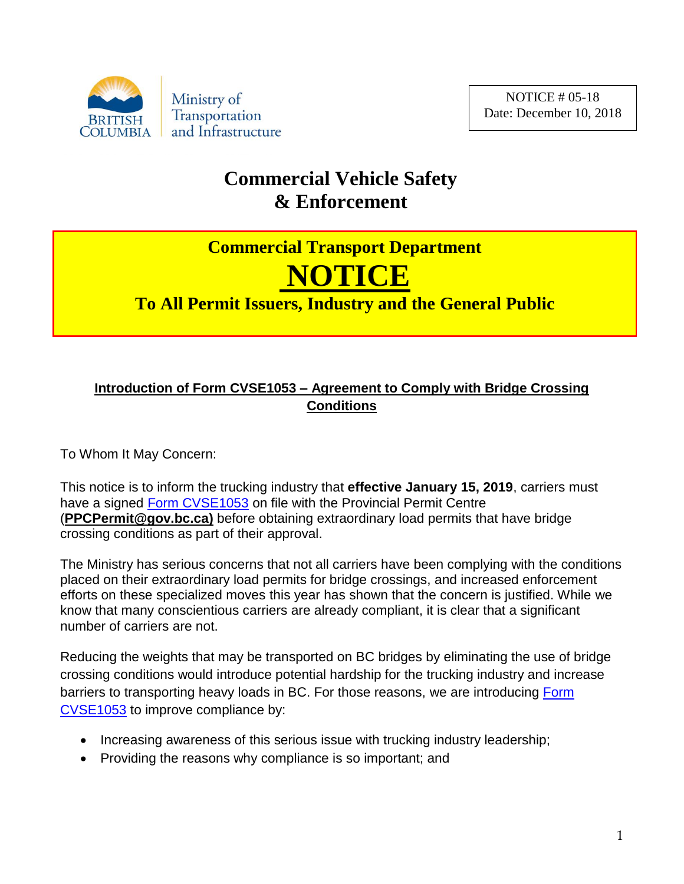

## **Commercial Vehicle Safety & Enforcement**

## **Commercial Transport Department NOTICE**

**To All Permit Issuers, Industry and the General Public**

## **Introduction of Form CVSE1053 – Agreement to Comply with Bridge Crossing Conditions**

To Whom It May Concern:

This notice is to inform the trucking industry that **effective January 15, 2019**, carriers must have a signed [Form CVSE1053](http://www.th.gov.bc.ca/forms/getForm.aspx?formId=1433) on file with the Provincial Permit Centre (**PPCPermit@gov.bc.ca)** before obtaining extraordinary load permits that have bridge crossing conditions as part of their approval.

The Ministry has serious concerns that not all carriers have been complying with the conditions placed on their extraordinary load permits for bridge crossings, and increased enforcement efforts on these specialized moves this year has shown that the concern is justified. While we know that many conscientious carriers are already compliant, it is clear that a significant number of carriers are not.

Reducing the weights that may be transported on BC bridges by eliminating the use of bridge crossing conditions would introduce potential hardship for the trucking industry and increase barriers to transporting heavy loads in BC. For those reasons, we are introducing Form [CVSE1053](http://www.th.gov.bc.ca/forms/getForm.aspx?formId=1433) to improve compliance by:

- Increasing awareness of this serious issue with trucking industry leadership;
- Providing the reasons why compliance is so important; and